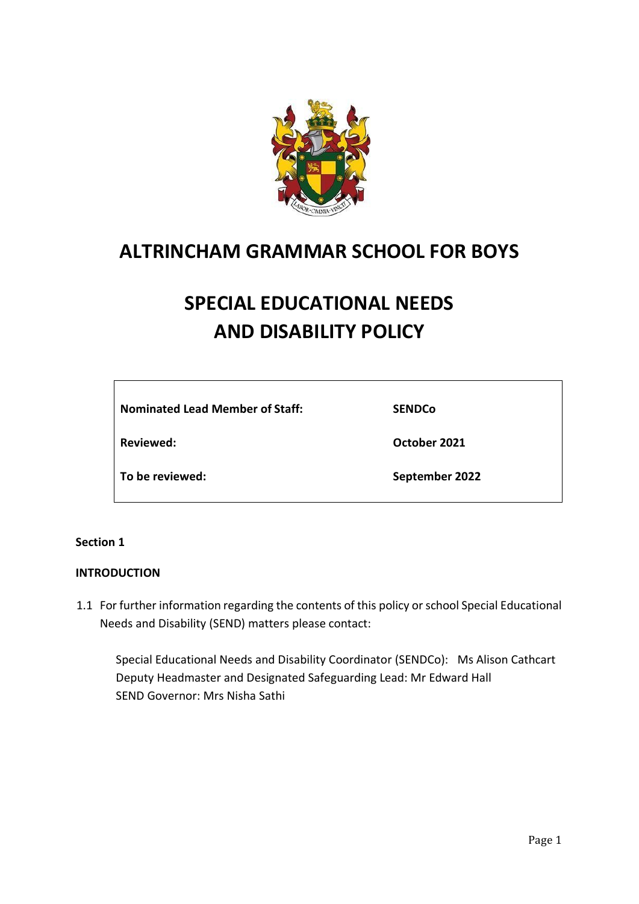

## **ALTRINCHAM GRAMMAR SCHOOL FOR BOYS**

# **SPECIAL EDUCATIONAL NEEDS AND DISABILITY POLICY**

**Nominated Lead Member of Staff:** 

**Reviewed:** 

**SENDCo**

**October 2021**

**To be reviewed:** 

**September 2022**

## **Section 1**

## **INTRODUCTION**

1.1 For further information regarding the contents of this policy or school Special Educational Needs and Disability (SEND) matters please contact:

Special Educational Needs and Disability Coordinator (SENDCo): Ms Alison Cathcart Deputy Headmaster and Designated Safeguarding Lead: Mr Edward Hall SEND Governor: Mrs Nisha Sathi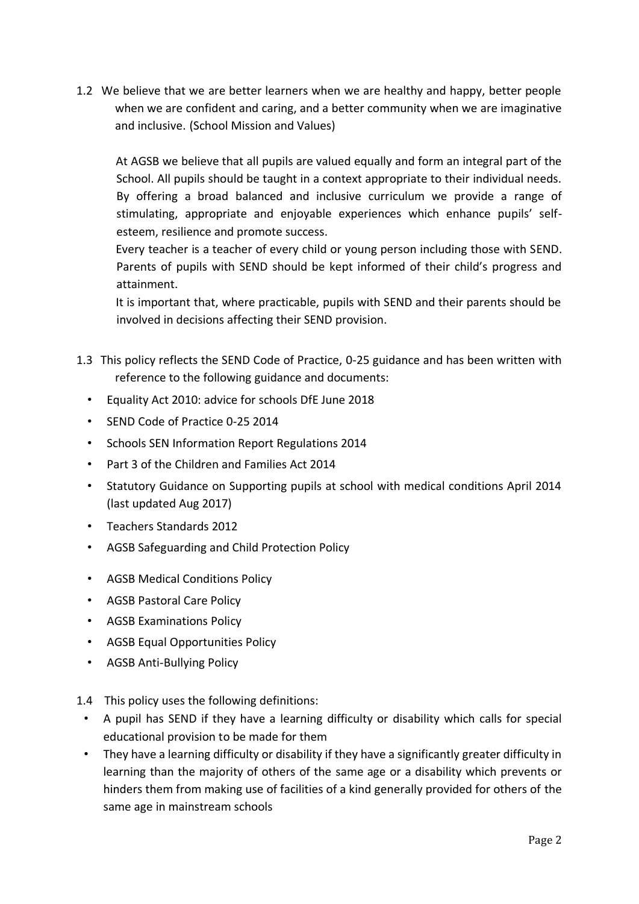1.2 We believe that we are better learners when we are healthy and happy, better people when we are confident and caring, and a better community when we are imaginative and inclusive. (School Mission and Values)

At AGSB we believe that all pupils are valued equally and form an integral part of the School. All pupils should be taught in a context appropriate to their individual needs. By offering a broad balanced and inclusive curriculum we provide a range of stimulating, appropriate and enjoyable experiences which enhance pupils' selfesteem, resilience and promote success.

Every teacher is a teacher of every child or young person including those with SEND. Parents of pupils with SEND should be kept informed of their child's progress and attainment.

It is important that, where practicable, pupils with SEND and their parents should be involved in decisions affecting their SEND provision.

- 1.3 This policy reflects the SEND Code of Practice, 0-25 guidance and has been written with reference to the following guidance and documents:
	- Equality Act 2010: advice for schools DfE June 2018
	- SEND Code of Practice 0-25 2014
	- Schools SEN Information Report Regulations 2014
	- Part 3 of the Children and Families Act 2014
	- Statutory Guidance on Supporting pupils at school with medical conditions April 2014 (last updated Aug 2017)
	- Teachers Standards 2012
	- AGSB Safeguarding and Child Protection Policy
	- AGSB Medical Conditions Policy
	- AGSB Pastoral Care Policy
	- AGSB Examinations Policy
	- AGSB Equal Opportunities Policy
	- AGSB Anti-Bullying Policy
- 1.4 This policy uses the following definitions:
	- A pupil has SEND if they have a learning difficulty or disability which calls for special educational provision to be made for them
	- They have a learning difficulty or disability if they have a significantly greater difficulty in learning than the majority of others of the same age or a disability which prevents or hinders them from making use of facilities of a kind generally provided for others of the same age in mainstream schools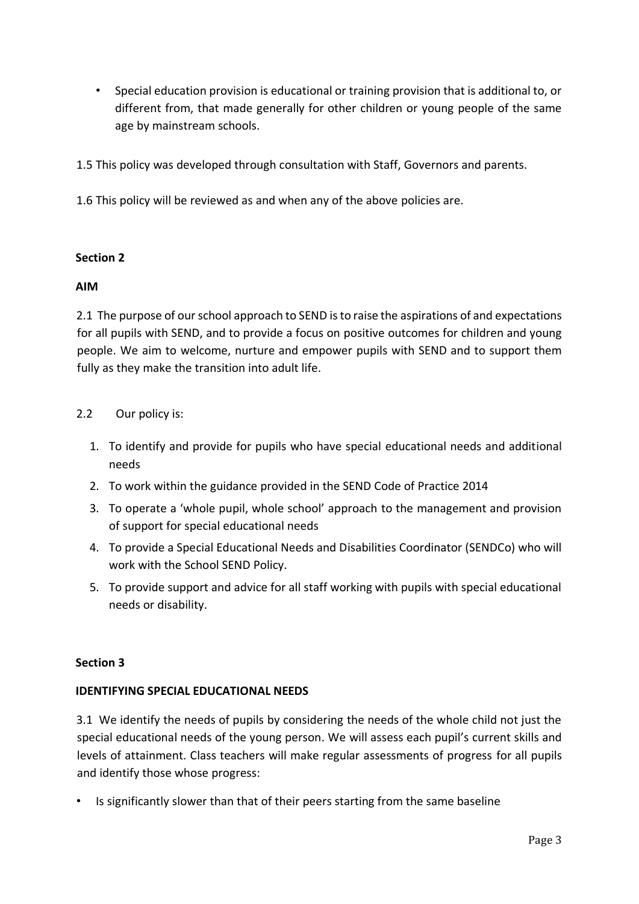- Special education provision is educational or training provision that is additional to, or different from, that made generally for other children or young people of the same age by mainstream schools.
- 1.5 This policy was developed through consultation with Staff, Governors and parents.
- 1.6 This policy will be reviewed as and when any of the above policies are.

## **Section 2**

## **AIM**

2.1 The purpose of our school approach to SEND is to raise the aspirations of and expectations for all pupils with SEND, and to provide a focus on positive outcomes for children and young people. We aim to welcome, nurture and empower pupils with SEND and to support them fully as they make the transition into adult life.

## 2.2 Our policy is:

- 1. To identify and provide for pupils who have special educational needs and additional needs
- 2. To work within the guidance provided in the SEND Code of Practice 2014
- 3. To operate a 'whole pupil, whole school' approach to the management and provision of support for special educational needs
- 4. To provide a Special Educational Needs and Disabilities Coordinator (SENDCo) who will work with the School SEND Policy.
- 5. To provide support and advice for all staff working with pupils with special educational needs or disability.

## **Section 3**

## **IDENTIFYING SPECIAL EDUCATIONAL NEEDS**

3.1 We identify the needs of pupils by considering the needs of the whole child not just the special educational needs of the young person. We will assess each pupil's current skills and levels of attainment. Class teachers will make regular assessments of progress for all pupils and identify those whose progress:

• Is significantly slower than that of their peers starting from the same baseline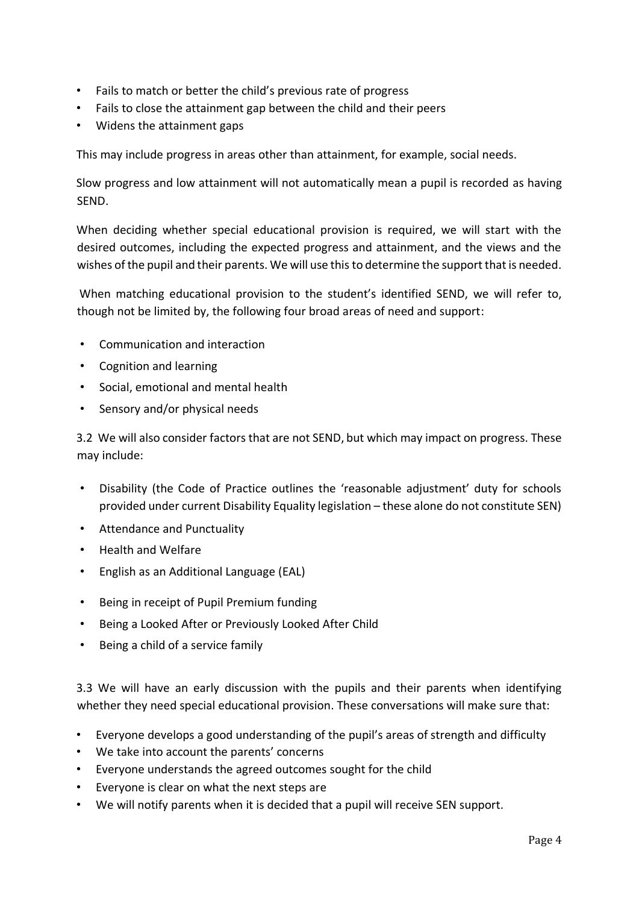- Fails to match or better the child's previous rate of progress
- Fails to close the attainment gap between the child and their peers
- Widens the attainment gaps

This may include progress in areas other than attainment, for example, social needs.

Slow progress and low attainment will not automatically mean a pupil is recorded as having SEND.

When deciding whether special educational provision is required, we will start with the desired outcomes, including the expected progress and attainment, and the views and the wishes of the pupil and their parents. We will use this to determine the support that is needed.

When matching educational provision to the student's identified SEND, we will refer to, though not be limited by, the following four broad areas of need and support:

- Communication and interaction
- Cognition and learning
- Social, emotional and mental health
- Sensory and/or physical needs

3.2 We will also consider factors that are not SEND, but which may impact on progress. These may include:

- Disability (the Code of Practice outlines the 'reasonable adjustment' duty for schools provided under current Disability Equality legislation – these alone do not constitute SEN)
- Attendance and Punctuality
- Health and Welfare
- English as an Additional Language (EAL)
- Being in receipt of Pupil Premium funding
- Being a Looked After or Previously Looked After Child
- Being a child of a service family

3.3 We will have an early discussion with the pupils and their parents when identifying whether they need special educational provision. These conversations will make sure that:

- Everyone develops a good understanding of the pupil's areas of strength and difficulty
- We take into account the parents' concerns
- Everyone understands the agreed outcomes sought for the child
- Everyone is clear on what the next steps are
- We will notify parents when it is decided that a pupil will receive SEN support.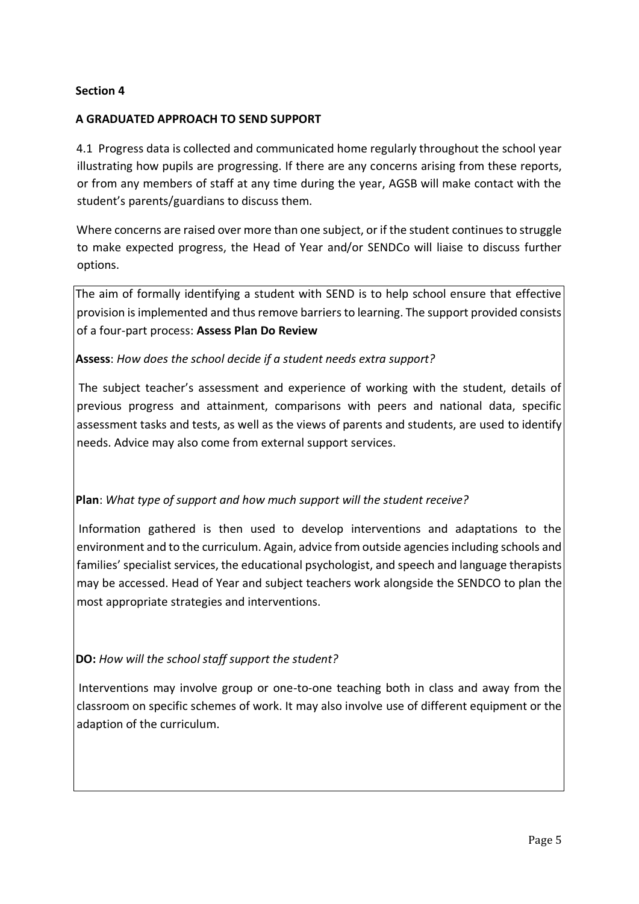## **Section 4**

## **A GRADUATED APPROACH TO SEND SUPPORT**

4.1 Progress data is collected and communicated home regularly throughout the school year illustrating how pupils are progressing. If there are any concerns arising from these reports, or from any members of staff at any time during the year, AGSB will make contact with the student's parents/guardians to discuss them.

Where concerns are raised over more than one subject, or if the student continues to struggle to make expected progress, the Head of Year and/or SENDCo will liaise to discuss further options.

The aim of formally identifying a student with SEND is to help school ensure that effective provision is implemented and thus remove barriers to learning. The support provided consists of a four-part process: **Assess Plan Do Review**

## **Assess**: *How does the school decide if a student needs extra support?*

The subject teacher's assessment and experience of working with the student, details of previous progress and attainment, comparisons with peers and national data, specific assessment tasks and tests, as well as the views of parents and students, are used to identify needs. Advice may also come from external support services.

## **Plan**: *What type of support and how much support will the student receive?*

Information gathered is then used to develop interventions and adaptations to the environment and to the curriculum. Again, advice from outside agencies including schools and families' specialist services, the educational psychologist, and speech and language therapists may be accessed. Head of Year and subject teachers work alongside the SENDCO to plan the most appropriate strategies and interventions.

**DO:** *How will the school staff support the student?* 

Interventions may involve group or one-to-one teaching both in class and away from the classroom on specific schemes of work. It may also involve use of different equipment or the adaption of the curriculum.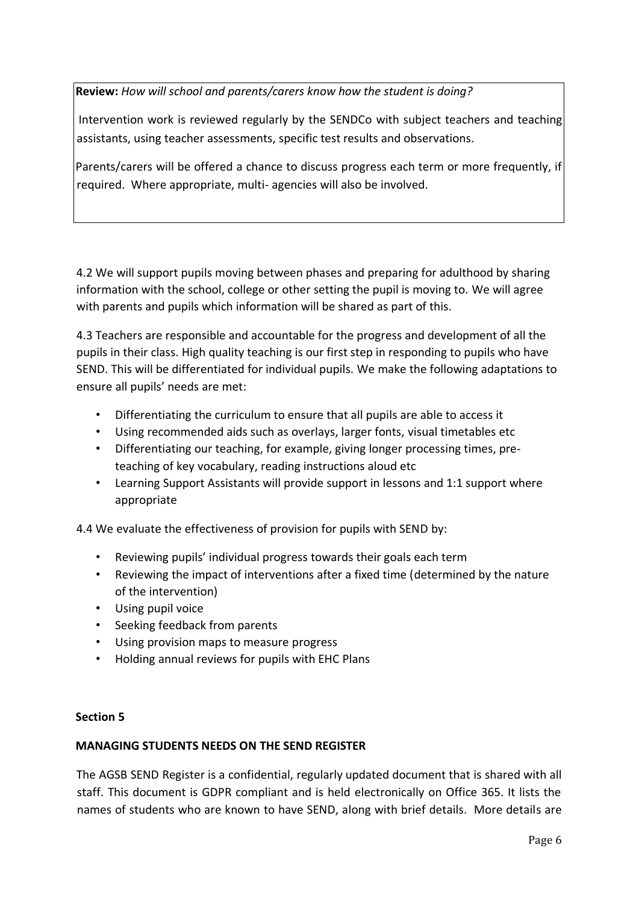**Review:** *How will school and parents/carers know how the student is doing?*

Intervention work is reviewed regularly by the SENDCo with subject teachers and teaching assistants, using teacher assessments, specific test results and observations.

Parents/carers will be offered a chance to discuss progress each term or more frequently, if required. Where appropriate, multi- agencies will also be involved.

4.2 We will support pupils moving between phases and preparing for adulthood by sharing information with the school, college or other setting the pupil is moving to. We will agree with parents and pupils which information will be shared as part of this.

4.3 Teachers are responsible and accountable for the progress and development of all the pupils in their class. High quality teaching is our first step in responding to pupils who have SEND. This will be differentiated for individual pupils. We make the following adaptations to ensure all pupils' needs are met:

- Differentiating the curriculum to ensure that all pupils are able to access it
- Using recommended aids such as overlays, larger fonts, visual timetables etc
- Differentiating our teaching, for example, giving longer processing times, preteaching of key vocabulary, reading instructions aloud etc
- Learning Support Assistants will provide support in lessons and 1:1 support where appropriate

4.4 We evaluate the effectiveness of provision for pupils with SEND by:

- Reviewing pupils' individual progress towards their goals each term
- Reviewing the impact of interventions after a fixed time (determined by the nature of the intervention)
- Using pupil voice
- Seeking feedback from parents
- Using provision maps to measure progress
- Holding annual reviews for pupils with EHC Plans

## **Section 5**

## **MANAGING STUDENTS NEEDS ON THE SEND REGISTER**

The AGSB SEND Register is a confidential, regularly updated document that is shared with all staff. This document is GDPR compliant and is held electronically on Office 365. It lists the names of students who are known to have SEND, along with brief details. More details are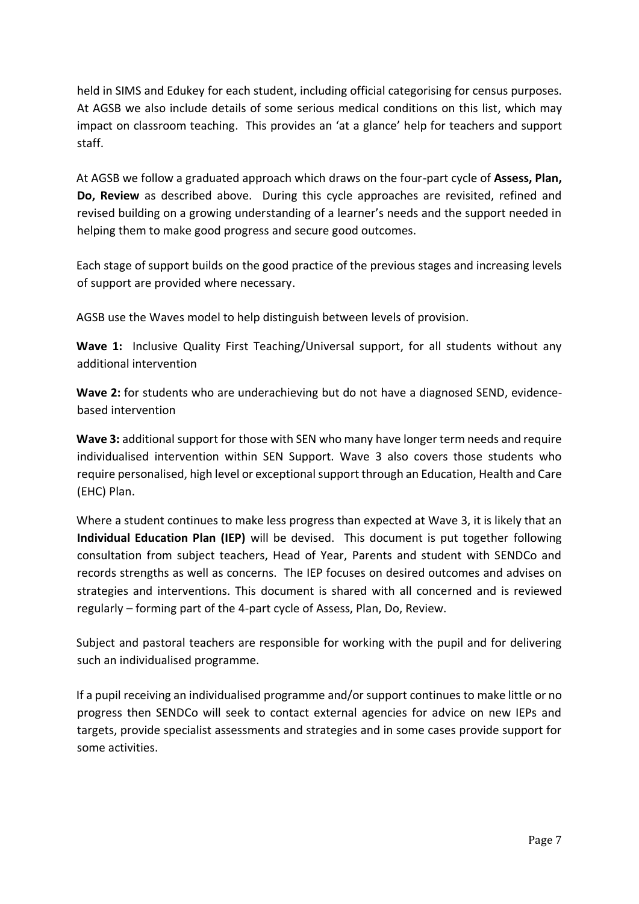held in SIMS and Edukey for each student, including official categorising for census purposes. At AGSB we also include details of some serious medical conditions on this list, which may impact on classroom teaching. This provides an 'at a glance' help for teachers and support staff.

At AGSB we follow a graduated approach which draws on the four-part cycle of **Assess, Plan, Do, Review** as described above. During this cycle approaches are revisited, refined and revised building on a growing understanding of a learner's needs and the support needed in helping them to make good progress and secure good outcomes.

Each stage of support builds on the good practice of the previous stages and increasing levels of support are provided where necessary.

AGSB use the Waves model to help distinguish between levels of provision.

**Wave 1:** Inclusive Quality First Teaching/Universal support, for all students without any additional intervention

**Wave 2:** for students who are underachieving but do not have a diagnosed SEND, evidencebased intervention

**Wave 3:** additional support for those with SEN who many have longer term needs and require individualised intervention within SEN Support. Wave 3 also covers those students who require personalised, high level or exceptional support through an Education, Health and Care (EHC) Plan.

Where a student continues to make less progress than expected at Wave 3, it is likely that an **Individual Education Plan (IEP)** will be devised. This document is put together following consultation from subject teachers, Head of Year, Parents and student with SENDCo and records strengths as well as concerns. The IEP focuses on desired outcomes and advises on strategies and interventions. This document is shared with all concerned and is reviewed regularly – forming part of the 4-part cycle of Assess, Plan, Do, Review.

Subject and pastoral teachers are responsible for working with the pupil and for delivering such an individualised programme.

If a pupil receiving an individualised programme and/or support continues to make little or no progress then SENDCo will seek to contact external agencies for advice on new IEPs and targets, provide specialist assessments and strategies and in some cases provide support for some activities.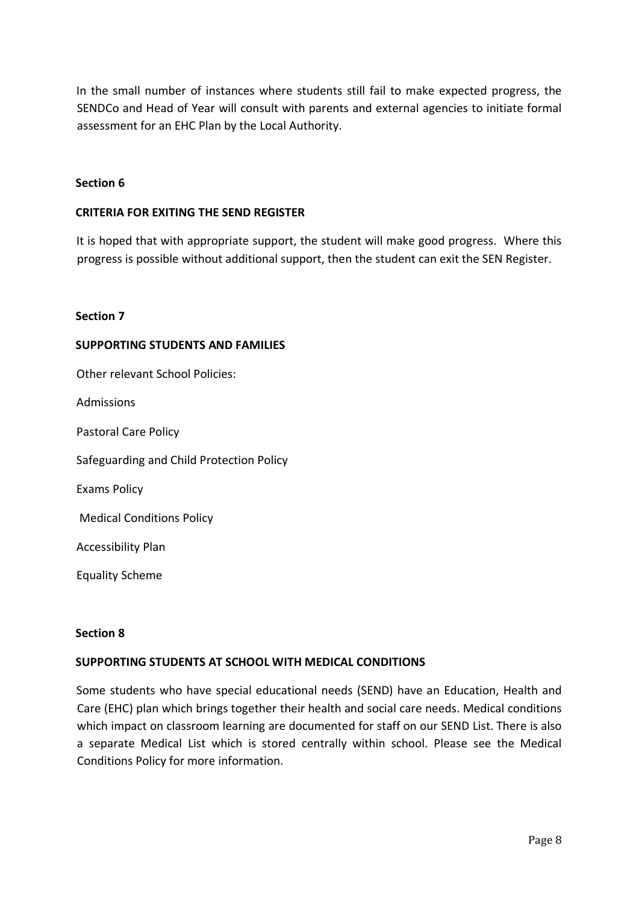In the small number of instances where students still fail to make expected progress, the SENDCo and Head of Year will consult with parents and external agencies to initiate formal assessment for an EHC Plan by the Local Authority.

#### **Section 6**

#### **CRITERIA FOR EXITING THE SEND REGISTER**

It is hoped that with appropriate support, the student will make good progress. Where this progress is possible without additional support, then the student can exit the SEN Register.

#### **Section 7**

#### **SUPPORTING STUDENTS AND FAMILIES**

Other relevant School Policies: Admissions Pastoral Care Policy Safeguarding and Child Protection Policy Exams Policy Medical Conditions Policy Accessibility Plan Equality Scheme

#### **Section 8**

#### **SUPPORTING STUDENTS AT SCHOOL WITH MEDICAL CONDITIONS**

Some students who have special educational needs (SEND) have an Education, Health and Care (EHC) plan which brings together their health and social care needs. Medical conditions which impact on classroom learning are documented for staff on our SEND List. There is also a separate Medical List which is stored centrally within school. Please see the Medical Conditions Policy for more information.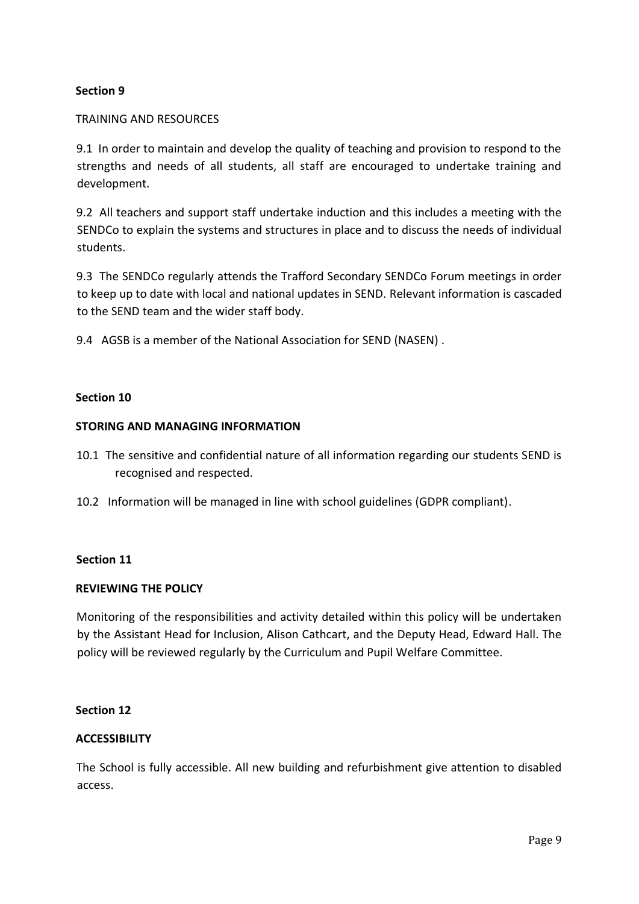## **Section 9**

### TRAINING AND RESOURCES

9.1 In order to maintain and develop the quality of teaching and provision to respond to the strengths and needs of all students, all staff are encouraged to undertake training and development.

9.2 All teachers and support staff undertake induction and this includes a meeting with the SENDCo to explain the systems and structures in place and to discuss the needs of individual students.

9.3 The SENDCo regularly attends the Trafford Secondary SENDCo Forum meetings in order to keep up to date with local and national updates in SEND. Relevant information is cascaded to the SEND team and the wider staff body.

9.4 AGSB is a member of the National Association for SEND (NASEN) .

## **Section 10**

## **STORING AND MANAGING INFORMATION**

- 10.1 The sensitive and confidential nature of all information regarding our students SEND is recognised and respected.
- 10.2 Information will be managed in line with school guidelines (GDPR compliant).

#### **Section 11**

#### **REVIEWING THE POLICY**

Monitoring of the responsibilities and activity detailed within this policy will be undertaken by the Assistant Head for Inclusion, Alison Cathcart, and the Deputy Head, Edward Hall. The policy will be reviewed regularly by the Curriculum and Pupil Welfare Committee.

## **Section 12**

## **ACCESSIBILITY**

The School is fully accessible. All new building and refurbishment give attention to disabled access.